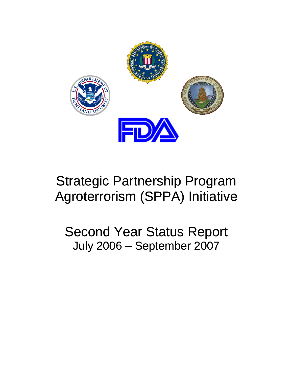

# Strategic Partnership Program Agroterrorism (SPPA) Initiative

Second Year Status Report July 2006 – September 2007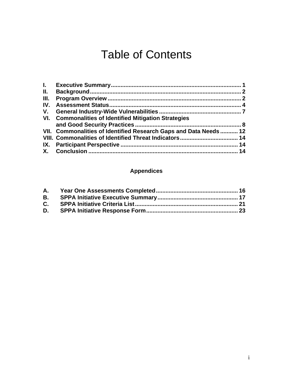## Table of Contents

| $\mathbf{L}$ |                                                                   |  |
|--------------|-------------------------------------------------------------------|--|
| II.          |                                                                   |  |
| III.         |                                                                   |  |
|              |                                                                   |  |
|              |                                                                   |  |
|              | VI. Commonalities of Identified Mitigation Strategies             |  |
|              |                                                                   |  |
|              | VII. Commonalities of Identified Research Gaps and Data Needs  12 |  |
|              |                                                                   |  |
|              |                                                                   |  |
|              |                                                                   |  |

## **Appendices**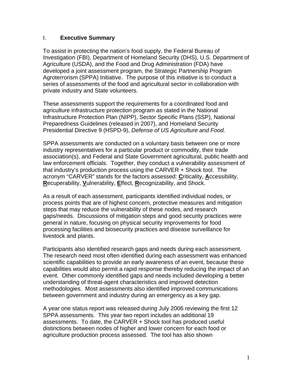#### I. **Executive Summary**

To assist in protecting the nation's food supply, the Federal Bureau of Investigation (FBI), Department of Homeland Security (DHS), U.S. Department of Agriculture (USDA), and the Food and Drug Administration (FDA) have developed a joint assessment program, the Strategic Partnership Program Agroterrorism (SPPA) Initiative. The purpose of this initiative is to conduct a series of assessments of the food and agricultural sector in collaboration with private industry and State volunteers.

These assessments support the requirements for a coordinated food and agriculture infrastructure protection program as stated in the National Infrastructure Protection Plan (NIPP), Sector Specific Plans (SSP), National Preparedness Guidelines (released in 2007), and Homeland Security Presidential Directive 9 (HSPD-9), *Defense of US Agriculture and Food.*

SPPA assessments are conducted on a voluntary basis between one or more industry representatives for a particular product or commodity, their trade association(s), and Federal and State Government agricultural, public health and law enforcement officials. Together, they conduct a vulnerability assessment of that industry's production process using the CARVER + Shock tool. The acronym "CARVER" stands for the factors assessed: **C**riticality, **A**ccessibility, **R**ecuperability, **V**ulnerability, **E**ffect, **R**ecognizability, and Shock.

As a result of each assessment, participants identified individual nodes, or process points that are of highest concern, protective measures and mitigation steps that may reduce the vulnerability of these nodes, and research gaps/needs. Discussions of mitigation steps and good security practices were general in nature, focusing on physical security improvements for food processing facilities and biosecurity practices and disease surveillance for livestock and plants.

Participants also identified research gaps and needs during each assessment. The research need most often identified during each assessment was enhanced scientific capabilities to provide an early awareness of an event, because these capabilities would also permit a rapid response thereby reducing the impact of an event. Other commonly identified gaps and needs included developing a better understanding of threat-agent characteristics and improved detection methodologies. Most assessments also identified improved communications between government and industry during an emergency as a key gap.

A year one status report was released during July 2006 reviewing the first 12 SPPA assessments. This year two report includes an additional 19 assessments. To date, the CARVER + Shock tool has produced useful distinctions between nodes of higher and lower concern for each food or agriculture production process assessed. The tool has also shown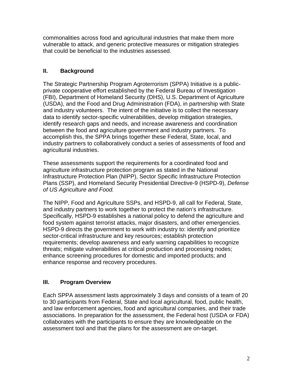commonalities across food and agricultural industries that make them more vulnerable to attack, and generic protective measures or mitigation strategies that could be beneficial to the industries assessed.

## **II. Background**

The Strategic Partnership Program Agroterrorism (SPPA) Initiative is a publicprivate cooperative effort established by the Federal Bureau of Investigation (FBI), Department of Homeland Security (DHS), U.S. Department of Agriculture (USDA), and the Food and Drug Administration (FDA), in partnership with State and industry volunteers. The intent of the initiative is to collect the necessary data to identify sector-specific vulnerabilities, develop mitigation strategies, identify research gaps and needs, and increase awareness and coordination between the food and agriculture government and industry partners. To accomplish this, the SPPA brings together these Federal, State, local, and industry partners to collaboratively conduct a series of assessments of food and agricultural industries.

These assessments support the requirements for a coordinated food and agriculture infrastructure protection program as stated in the National Infrastructure Protection Plan (NIPP), Sector Specific Infrastructure Protection Plans (SSP), and Homeland Security Presidential Directive-9 (HSPD-9), *Defense of US Agriculture and Food.*

The NIPP, Food and Agriculture SSPs, and HSPD-9, all call for Federal, State, and industry partners to work together to protect the nation's infrastructure. Specifically, HSPD-9 establishes a national policy to defend the agriculture and food system against terrorist attacks, major disasters, and other emergencies. HSPD-9 directs the government to work with industry to: identify and prioritize sector-critical infrastructure and key resources; establish protection requirements; develop awareness and early warning capabilities to recognize threats; mitigate vulnerabilities at critical production and processing nodes; enhance screening procedures for domestic and imported products; and enhance response and recovery procedures.

## **III. Program Overview**

Each SPPA assessment lasts approximately 3 days and consists of a team of 20 to 30 participants from Federal, State and local agricultural, food, public health, and law enforcement agencies, food and agricultural companies, and their trade associations. In preparation for the assessment, the Federal host (USDA or FDA) collaborates with the participants to ensure they are knowledgeable on the assessment tool and that the plans for the assessment are on-target.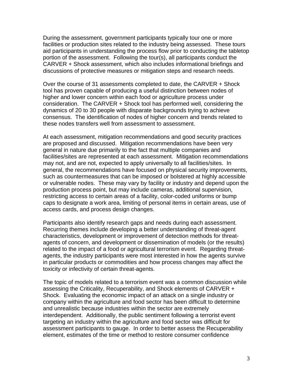During the assessment, government participants typically tour one or more facilities or production sites related to the industry being assessed. These tours aid participants in understanding the process flow prior to conducting the tabletop portion of the assessment. Following the tour(s), all participants conduct the CARVER + Shock assessment, which also includes informational briefings and discussions of protective measures or mitigation steps and research needs.

Over the course of 31 assessments completed to date, the CARVER + Shock tool has proven capable of producing a useful distinction between nodes of higher and lower concern within each food or agriculture process under consideration. The CARVER + Shock tool has performed well, considering the dynamics of 20 to 30 people with disparate backgrounds trying to achieve consensus. The identification of nodes of higher concern and trends related to these nodes transfers well from assessment to assessment.

At each assessment, mitigation recommendations and good security practices are proposed and discussed. Mitigation recommendations have been very general in nature due primarily to the fact that multiple companies and facilities/sites are represented at each assessment. Mitigation recommendations may not, and are not, expected to apply universally to all facilities/sites. In general, the recommendations have focused on physical security improvements, such as countermeasures that can be imposed or bolstered at highly accessible or vulnerable nodes. These may vary by facility or industry and depend upon the production process point, but may include cameras, additional supervision, restricting access to certain areas of a facility, color-coded uniforms or bump caps to designate a work area, limiting of personal items in certain areas, use of access cards, and process design changes.

Participants also identify research gaps and needs during each assessment. Recurring themes include developing a better understanding of threat-agent characteristics, development or improvement of detection methods for threatagents of concern, and development or dissemination of models (or the results) related to the impact of a food or agricultural terrorism event. Regarding threatagents, the industry participants were most interested in how the agents survive in particular products or commodities and how process changes may affect the toxicity or infectivity of certain threat-agents.

The topic of models related to a terrorism event was a common discussion while assessing the Criticality, Recuperability, and Shock elements of CARVER + Shock. Evaluating the economic impact of an attack on a single industry or company within the agriculture and food sector has been difficult to determine and unrealistic because industries within the sector are extremely interdependent. Additionally, the public sentiment following a terrorist event targeting an industry within the agriculture and food sector was difficult for assessment participants to gauge. In order to better assess the Recuperability element, estimates of the time or method to restore consumer confidence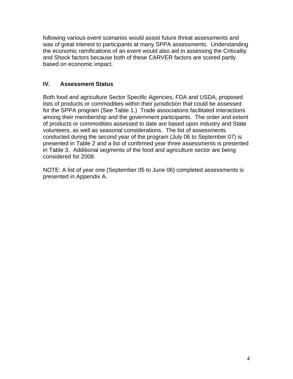following various event scenarios would assist future threat assessments and was of great interest to participants at many SPPA assessments. Understanding the economic ramifications of an event would also aid in assessing the Criticality and Shock factors because both of these CARVER factors are scored partly based on economic impact.

#### **IV. Assessment Status**

Both food and agriculture Sector Specific Agencies, FDA and USDA, proposed lists of products or commodities within their jurisdiction that could be assessed for the SPPA program (See Table 1.) Trade associations facilitated interactions among their membership and the government participants. The order and extent of products or commodities assessed to date are based upon industry and State volunteers, as well as seasonal considerations. The list of assessments conducted during the second year of the program (July 06 to September 07) is presented in Table 2 and a list of confirmed year three assessments is presented in Table 3. Additional segments of the food and agriculture sector are being considered for 2008.

NOTE: A list of year one (September 05 to June 06) completed assessments is presented in Appendix A.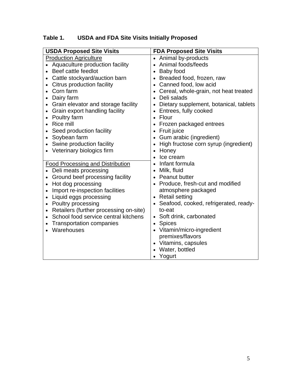| <b>USDA Proposed Site Visits</b>                    | <b>FDA Proposed Site Visits</b>                     |
|-----------------------------------------------------|-----------------------------------------------------|
| <b>Production Agriculture</b>                       | Animal by-products<br>$\bullet$                     |
| Aquaculture production facility                     | Animal foods/feeds<br>$\bullet$                     |
| Beef cattle feedlot                                 | Baby food<br>$\bullet$                              |
| Cattle stockyard/auction barn                       | Breaded food, frozen, raw<br>$\bullet$              |
| Citrus production facility<br>$\bullet$             | Canned food, low acid<br>$\bullet$                  |
| Corn farm<br>$\bullet$                              | Cereal, whole-grain, not heat treated<br>$\bullet$  |
| Dairy farm<br>$\bullet$                             | Deli salads                                         |
| Grain elevator and storage facility<br>$\bullet$    | Dietary supplement, botanical, tablets<br>$\bullet$ |
| Grain export handling facility<br>$\bullet$         | Entrees, fully cooked<br>$\bullet$                  |
| Poultry farm<br>$\bullet$                           | Flour<br>$\bullet$                                  |
| <b>Rice mill</b>                                    | Frozen packaged entrees                             |
| Seed production facility                            | Fruit juice<br>٠                                    |
| Soybean farm<br>$\bullet$                           | Gum arabic (ingredient)<br>$\bullet$                |
| Swine production facility                           | High fructose corn syrup (ingredient)<br>$\bullet$  |
| Veterinary biologics firm                           | Honey<br>$\bullet$                                  |
|                                                     | Ice cream                                           |
| <b>Food Processing and Distribution</b>             | Infant formula                                      |
| Deli meats processing                               | Milk, fluid<br>٠                                    |
| Ground beef processing facility                     | Peanut butter<br>$\bullet$                          |
| Hot dog processing<br>$\bullet$                     | Produce, fresh-cut and modified<br>$\bullet$        |
| Import re-inspection facilities                     | atmosphere packaged                                 |
| Liquid eggs processing                              | <b>Retail setting</b><br>$\bullet$                  |
| Poultry processing<br>$\bullet$                     | Seafood, cooked, refrigerated, ready-<br>$\bullet$  |
| Retailers (further processing on-site)<br>$\bullet$ | to-eat                                              |
| School food service central kitchens<br>$\bullet$   | • Soft drink, carbonated                            |
| <b>Transportation companies</b>                     | <b>Spices</b><br>$\bullet$                          |
| Warehouses                                          | Vitamin/micro-ingredient                            |
|                                                     | premixes/flavors                                    |
|                                                     | Vitamins, capsules<br>$\bullet$                     |
|                                                     | Water, bottled                                      |
|                                                     | Yogurt                                              |

## **Table 1. USDA and FDA Site Visits Initially Proposed**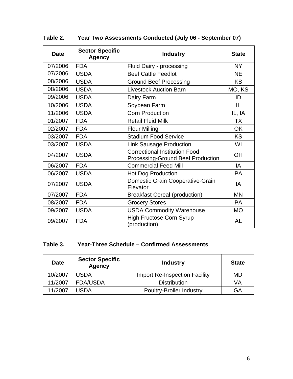| <b>Date</b> | <b>Sector Specific</b><br><b>Agency</b> | <b>Industry</b>                                                                  | <b>State</b> |
|-------------|-----------------------------------------|----------------------------------------------------------------------------------|--------------|
| 07/2006     | <b>FDA</b>                              | Fluid Dairy - processing                                                         | <b>NY</b>    |
| 07/2006     | <b>USDA</b>                             | <b>Beef Cattle Feedlot</b>                                                       | <b>NE</b>    |
| 08/2006     | <b>USDA</b>                             | <b>Ground Beef Processing</b>                                                    | <b>KS</b>    |
| 08/2006     | <b>USDA</b>                             | <b>Livestock Auction Barn</b>                                                    | MO, KS       |
| 09/2006     | <b>USDA</b>                             | Dairy Farm                                                                       | ID           |
| 10/2006     | <b>USDA</b>                             | Soybean Farm                                                                     | IL           |
| 11/2006     | <b>USDA</b>                             | <b>Corn Production</b>                                                           | IL, IA       |
| 01/2007     | <b>FDA</b>                              | <b>Retail Fluid Milk</b>                                                         | <b>TX</b>    |
| 02/2007     | <b>FDA</b>                              | <b>Flour Milling</b>                                                             | <b>OK</b>    |
| 03/2007     | <b>FDA</b>                              | <b>Stadium Food Service</b>                                                      | <b>KS</b>    |
| 03/2007     | <b>USDA</b>                             | <b>Link Sausage Production</b>                                                   | WI           |
| 04/2007     | <b>USDA</b>                             | <b>Correctional Institution Food</b><br><b>Processing-Ground Beef Production</b> | <b>OH</b>    |
| 06/2007     | <b>FDA</b>                              | <b>Commercial Feed Mill</b>                                                      | IA           |
| 06/2007     | <b>USDA</b>                             | <b>Hot Dog Production</b>                                                        | <b>PA</b>    |
| 07/2007     | <b>USDA</b>                             | Domestic Grain Cooperative-Grain<br>Elevator                                     | IA           |
| 07/2007     | <b>FDA</b>                              | <b>Breakfast Cereal (production)</b>                                             | <b>MN</b>    |
| 08/2007     | <b>FDA</b>                              | <b>Grocery Stores</b>                                                            | <b>PA</b>    |
| 09/2007     | <b>USDA</b>                             | <b>USDA Commodity Warehouse</b>                                                  | <b>MO</b>    |
| 09/2007     | <b>FDA</b>                              | <b>High Fructose Corn Syrup</b><br>(production)                                  | <b>AL</b>    |

## **Table 2. Year Two Assessments Conducted (July 06 - September 07)**

## **Table 3. Year-Three Schedule – Confirmed Assessments**

| <b>Date</b> | <b>Sector Specific</b><br><b>Agency</b> | <b>Industry</b>                      | <b>State</b> |
|-------------|-----------------------------------------|--------------------------------------|--------------|
| 10/2007     | <b>USDA</b>                             | <b>Import Re-Inspection Facility</b> | MD           |
| 11/2007     | <b>FDA/USDA</b>                         | <b>Distribution</b>                  | VA           |
| 11/2007     | USDA                                    | <b>Poultry-Broiler Industry</b>      | GА           |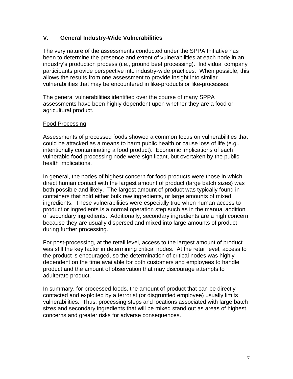#### **V. General Industry-Wide Vulnerabilities**

The very nature of the assessments conducted under the SPPA Initiative has been to determine the presence and extent of vulnerabilities at each node in an industry's production process (i.e., ground beef processing). Individual company participants provide perspective into industry-wide practices. When possible, this allows the results from one assessment to provide insight into similar vulnerabilities that may be encountered in like-products or like-processes.

The general vulnerabilities identified over the course of many SPPA assessments have been highly dependent upon whether they are a food or agricultural product.

#### Food Processing

Assessments of processed foods showed a common focus on vulnerabilities that could be attacked as a means to harm public health or cause loss of life (e.g., intentionally contaminating a food product). Economic implications of each vulnerable food-processing node were significant, but overtaken by the public health implications.

In general, the nodes of highest concern for food products were those in which direct human contact with the largest amount of product (large batch sizes) was both possible and likely. The largest amount of product was typically found in containers that hold either bulk raw ingredients, or large amounts of mixed ingredients. These vulnerabilities were especially true when human access to product or ingredients is a normal operation step such as in the manual addition of secondary ingredients. Additionally, secondary ingredients are a high concern because they are usually dispersed and mixed into large amounts of product during further processing.

For post-processing, at the retail level, access to the largest amount of product was still the key factor in determining critical nodes. At the retail level, access to the product is encouraged, so the determination of critical nodes was highly dependent on the time available for both customers and employees to handle product and the amount of observation that may discourage attempts to adulterate product.

In summary, for processed foods, the amount of product that can be directly contacted and exploited by a terrorist (or disgruntled employee) usually limits vulnerabilities. Thus, processing steps and locations associated with large batch sizes and secondary ingredients that will be mixed stand out as areas of highest concerns and greater risks for adverse consequences.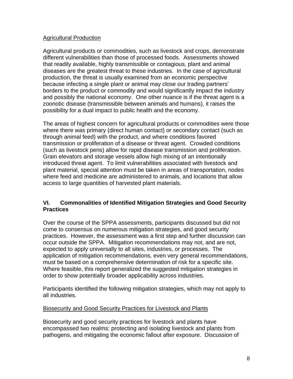#### Agricultural Production

Agricultural products or commodities, such as livestock and crops, demonstrate different vulnerabilities than those of processed foods. Assessments showed that readily available, highly transmissible or contagious, plant and animal diseases are the greatest threat to these industries. In the case of agricultural production, the threat is usually examined from an economic perspective because infecting a single plant or animal may close our trading partners' borders to the product or commodity and would significantly impact the industry and possibly the national economy. One other nuance is if the threat agent is a zoonotic disease (transmissible between animals and humans), it raises the possibility for a dual impact to public health and the economy.

The areas of highest concern for agricultural products or commodities were those where there was primary (direct human contact) or secondary contact (such as through animal feed) with the product, and where conditions favored transmission or proliferation of a disease or threat agent. Crowded conditions (such as livestock pens) allow for rapid disease transmission and proliferation. Grain elevators and storage vessels allow high mixing of an intentionally introduced threat agent. To limit vulnerabilities associated with livestock and plant material, special attention must be taken in areas of transportation, nodes where feed and medicine are administered to animals, and locations that allow access to large quantities of harvested plant materials.

#### **VI. Commonalities of Identified Mitigation Strategies and Good Security Practices**

Over the course of the SPPA assessments, participants discussed but did not come to consensus on numerous mitigation strategies, and good security practices. However, the assessment was a first step and further discussion can occur outside the SPPA. Mitigation recommendations may not, and are not, expected to apply universally to all sites, industries, or processes. The application of mitigation recommendations, even very general recommendations, must be based on a comprehensive determination of risk for a specific site. Where feasible, this report generalized the suggested mitigation strategies in order to show potentially broader applicability across industries.

Participants identified the following mitigation strategies, which may not apply to all industries.

#### Biosecurity and Good Security Practices for Livestock and Plants

Biosecurity and good security practices for livestock and plants have encompassed two realms: protecting and isolating livestock and plants from pathogens, and mitigating the economic fallout after exposure. Discussion of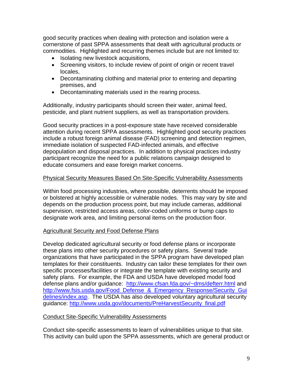good security practices when dealing with protection and isolation were a cornerstone of past SPPA assessments that dealt with agricultural products or commodities. Highlighted and recurring themes include but are not limited to:

- Isolating new livestock acquisitions,
- Screening visitors, to include review of point of origin or recent travel locales,
- Decontaminating clothing and material prior to entering and departing premises, and
- Decontaminating materials used in the rearing process.

Additionally, industry participants should screen their water, animal feed, pesticide, and plant nutrient suppliers, as well as transportation providers.

Good security practices in a post-exposure state have received considerable attention during recent SPPA assessments. Highlighted good security practices include a robust foreign animal disease (FAD) screening and detection regimen, immediate isolation of suspected FAD-infected animals, and effective depopulation and disposal practices. In addition to physical practices industry participant recognize the need for a public relations campaign designed to educate consumers and ease foreign market concerns.

#### Physical Security Measures Based On Site-Specific Vulnerability Assessments

Within food processing industries, where possible, deterrents should be imposed or bolstered at highly accessible or vulnerable nodes. This may vary by site and depends on the production process point, but may include cameras, additional supervision, restricted access areas, color-coded uniforms or bump caps to designate work area, and limiting personal items on the production floor.

#### Agricultural Security and Food Defense Plans

Develop dedicated agricultural security or food defense plans or incorporate these plans into other security procedures or safety plans. Several trade organizations that have participated in the SPPA program have developed plan templates for their constituents. Industry can tailor these templates for their own specific processes/facilities or integrate the template with existing security and safety plans. For example, the FDA and USDA have developed model food defense plans and/or guidance: <http://www.cfsan.fda.gov/~dms/defterr.html>and [http://www.fsis.usda.gov/Food\\_Defense\\_&\\_Emergency\\_Response/Security\\_Gui](http://www.fsis.usda.gov/Food_Defense_&_Emergency_Response/Security_Guidelines/index.asp) [delines/index.asp.](http://www.fsis.usda.gov/Food_Defense_&_Emergency_Response/Security_Guidelines/index.asp) The USDA has also developed voluntary agricultural security guidance: [http://www.usda.gov/documents/PreHarvestSecurity\\_final.pdf](http://www.usda.gov/documents/PreHarvestSecurity_final.pdf)

#### Conduct Site-Specific Vulnerability Assessments

Conduct site-specific assessments to learn of vulnerabilities unique to that site. This activity can build upon the SPPA assessments, which are general product or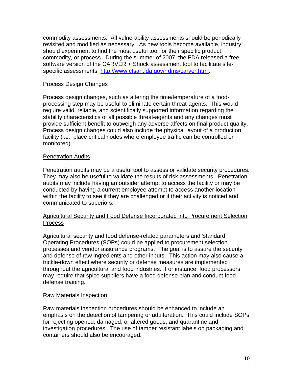commodity assessments. All vulnerability assessments should be periodically revisited and modified as necessary. As new tools become available, industry should experiment to find the most useful tool for their specific product, commodity, or process. During the summer of 2007, the FDA released a free software version of the CARVER + Shock assessment tool to facilitate sitespecific assessments: [http://www.cfsan.fda.gov/~dms/carver.html.](http://www.cfsan.fda.gov/%7Edms/carver.html)

#### Process Design Changes

Process design changes, such as altering the time/temperature of a foodprocessing step may be useful to eliminate certain threat-agents. This would require valid, reliable, and scientifically supported information regarding the stability characteristics of all possible threat-agents and any changes must provide sufficient benefit to outweigh any adverse affects on final product quality. Process design changes could also include the physical layout of a production facility (i.e., place critical nodes where employee traffic can be controlled or monitored).

#### Penetration Audits

Penetration audits may be a useful tool to assess or validate security procedures. They may also be useful to validate the results of risk assessments. Penetration audits may include having an outsider attempt to access the facility or may be conducted by having a current employee attempt to access another location within the facility to see if they are challenged or if their activity is noticed and communicated to superiors.

#### Agricultural Security and Food Defense Incorporated into Procurement Selection **Process**

Agricultural security and food defense-related parameters and Standard Operating Procedures (SOPs) could be applied to procurement selection processes and vendor assurance programs. The goal is to assure the security and defense of raw ingredients and other inputs. This action may also cause a trickle-down effect where security or defense measures are implemented throughout the agricultural and food industries. For instance, food processors may require that spice suppliers have a food defense plan and conduct food defense training.

#### Raw Materials Inspection

Raw materials inspection procedures should be enhanced to include an emphasis on the detection of tampering or adulteration. This could include SOPs for rejecting opened, damaged, or altered goods, and quarantine and investigation procedures. The use of tamper resistant labels on packaging and containers should also be encouraged.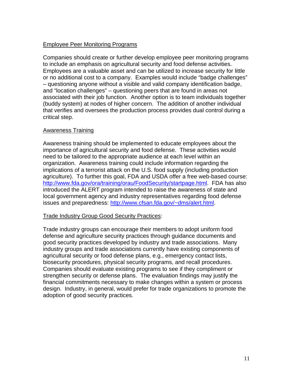#### Employee Peer Monitoring Programs

Companies should create or further develop employee peer monitoring programs to include an emphasis on agricultural security and food defense activities. Employees are a valuable asset and can be utilized to increase security for little or no additional cost to a company. Examples would include "badge challenges" – questioning anyone without a visible and valid company identification badge, and "location challenges" – questioning peers that are found in areas not associated with their job function. Another option is to team individuals together (buddy system) at nodes of higher concern. The addition of another individual that verifies and oversees the production process provides dual control during a critical step.

#### Awareness Training

Awareness training should be implemented to educate employees about the importance of agricultural security and food defense. These activities would need to be tailored to the appropriate audience at each level within an organization. Awareness training could include information regarding the implications of a terrorist attack on the U.S. food supply (including production agriculture). To further this goal, FDA and USDA offer a free web-based course: [http://www.fda.gov/ora/training/orau/FoodSecurity/startpage.html.](http://www.fda.gov/ora/training/orau/FoodSecurity/startpage.html) FDA has also introduced the ALERT program intended to raise the awareness of state and local government agency and industry representatives regarding food defense issues and preparedness: [http://www.cfsan.fda.gov/~dms/alert.html](http://www.cfsan.fda.gov/%7Edms/alert.html).

#### Trade Industry Group Good Security Practices:

Trade industry groups can encourage their members to adopt uniform food defense and agriculture security practices through guidance documents and good security practices developed by industry and trade associations. Many industry groups and trade associations currently have existing components of agricultural security or food defense plans, e.g., emergency contact lists, biosecurity procedures, physical security programs, and recall procedures. Companies should evaluate existing programs to see if they compliment or strengthen security or defense plans. The evaluation findings may justify the financial commitments necessary to make changes within a system or process design. Industry, in general, would prefer for trade organizations to promote the adoption of good security practices.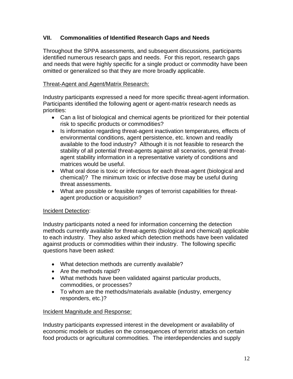#### **VII. Commonalities of Identified Research Gaps and Needs**

Throughout the SPPA assessments, and subsequent discussions, participants identified numerous research gaps and needs. For this report, research gaps and needs that were highly specific for a single product or commodity have been omitted or generalized so that they are more broadly applicable.

#### Threat-Agent and Agent/Matrix Research:

Industry participants expressed a need for more specific threat-agent information. Participants identified the following agent or agent-matrix research needs as priorities:

- Can a list of biological and chemical agents be prioritized for their potential risk to specific products or commodities?
- Is information regarding threat-agent inactivation temperatures, effects of environmental conditions, agent persistence, etc. known and readily available to the food industry? Although it is not feasible to research the stability of all potential threat-agents against all scenarios, general threatagent stability information in a representative variety of conditions and matrices would be useful.
- What oral dose is toxic or infectious for each threat-agent (biological and chemical)? The minimum toxic or infective dose may be useful during threat assessments.
- What are possible or feasible ranges of terrorist capabilities for threatagent production or acquisition?

#### Incident Detection:

Industry participants noted a need for information concerning the detection methods currently available for threat-agents (biological and chemical) applicable to each industry. They also asked which detection methods have been validated against products or commodities within their industry. The following specific questions have been asked:

- What detection methods are currently available?
- Are the methods rapid?
- What methods have been validated against particular products, commodities, or processes?
- To whom are the methods/materials available (industry, emergency responders, etc.)?

#### Incident Magnitude and Response:

Industry participants expressed interest in the development or availability of economic models or studies on the consequences of terrorist attacks on certain food products or agricultural commodities. The interdependencies and supply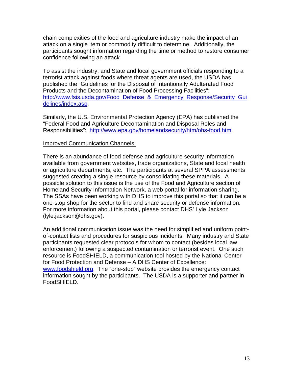chain complexities of the food and agriculture industry make the impact of an attack on a single item or commodity difficult to determine. Additionally, the participants sought information regarding the time or method to restore consumer confidence following an attack.

To assist the industry, and State and local government officials responding to a terrorist attack against foods where threat agents are used, the USDA has published the "Guidelines for the Disposal of Intentionally Adulterated Food Products and the Decontamination of Food Processing Facilities": [http://www.fsis.usda.gov/Food\\_Defense\\_&\\_Emergency\\_Response/Security\\_Gui](http://www.fsis.usda.gov/Food_Defense_&_Emergency_Response/Security_Guidelines/index.asp) [delines/index.asp.](http://www.fsis.usda.gov/Food_Defense_&_Emergency_Response/Security_Guidelines/index.asp)

Similarly, the U.S. Environmental Protection Agency (EPA) has published the "Federal Food and Agriculture Decontamination and Disposal Roles and Responsibilities": [http://www.epa.gov/homelandsecurity/htm/ohs-food.htm.](http://www.epa.gov/homelandsecurity/htm/ohs-food.htm)

#### Improved Communication Channels:

There is an abundance of food defense and agriculture security information available from government websites, trade organizations, State and local health or agriculture departments, etc. The participants at several SPPA assessments suggested creating a single resource by consolidating these materials. A possible solution to this issue is the use of the Food and Agriculture section of Homeland Security Information Network, a web portal for information sharing. The SSAs have been working with DHS to improve this portal so that it can be a one-stop shop for the sector to find and share security or defense information. For more information about this portal, please contact DHS' Lyle Jackson (lyle.jackson@dhs.gov).

An additional communication issue was the need for simplified and uniform pointof-contact lists and procedures for suspicious incidents. Many industry and State participants requested clear protocols for whom to contact (besides local law enforcement) following a suspected contamination or terrorist event. One such resource is FoodSHIELD, a communication tool hosted by the National Center for Food Protection and Defense – A DHS Center of Excellence: [www.foodshield.org.](http://www.foodshield.org/) The "one-stop" website provides the emergency contact information sought by the participants. The USDA is a supporter and partner in FoodSHIELD.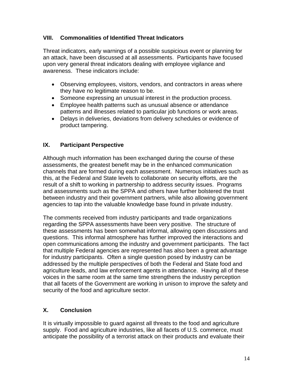#### **VIII. Commonalities of Identified Threat Indicators**

Threat indicators, early warnings of a possible suspicious event or planning for an attack, have been discussed at all assessments. Participants have focused upon very general threat indicators dealing with employee vigilance and awareness. These indicators include:

- Observing employees, visitors, vendors, and contractors in areas where they have no legitimate reason to be.
- Someone expressing an unusual interest in the production process.
- Employee health patterns such as unusual absence or attendance patterns and illnesses related to particular job functions or work areas.
- Delays in deliveries, deviations from delivery schedules or evidence of product tampering.

#### **IX. Participant Perspective**

Although much information has been exchanged during the course of these assessments, the greatest benefit may be in the enhanced communication channels that are formed during each assessment. Numerous initiatives such as this, at the Federal and State levels to collaborate on security efforts, are the result of a shift to working in partnership to address security issues. Programs and assessments such as the SPPA and others have further bolstered the trust between industry and their government partners, while also allowing government agencies to tap into the valuable knowledge base found in private industry.

The comments received from industry participants and trade organizations regarding the SPPA assessments have been very positive. The structure of these assessments has been somewhat informal, allowing open discussions and questions. This informal atmosphere has further improved the interactions and open communications among the industry and government participants. The fact that multiple Federal agencies are represented has also been a great advantage for industry participants. Often a single question posed by industry can be addressed by the multiple perspectives of both the Federal and State food and agriculture leads, and law enforcement agents in attendance. Having all of these voices in the same room at the same time strengthens the industry perception that all facets of the Government are working in unison to improve the safety and security of the food and agriculture sector.

## **X. Conclusion**

It is virtually impossible to guard against all threats to the food and agriculture supply. Food and agriculture industries, like all facets of U.S. commerce, must anticipate the possibility of a terrorist attack on their products and evaluate their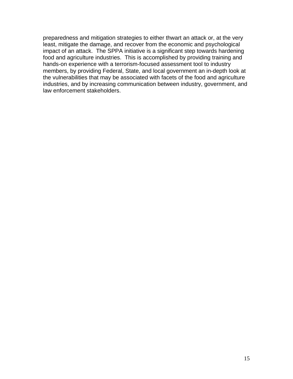preparedness and mitigation strategies to either thwart an attack or, at the very least, mitigate the damage, and recover from the economic and psychological impact of an attack. The SPPA initiative is a significant step towards hardening food and agriculture industries. This is accomplished by providing training and hands-on experience with a terrorism-focused assessment tool to industry members, by providing Federal, State, and local government an in-depth look at the vulnerabilities that may be associated with facets of the food and agriculture industries, and by increasing communication between industry, government, and law enforcement stakeholders.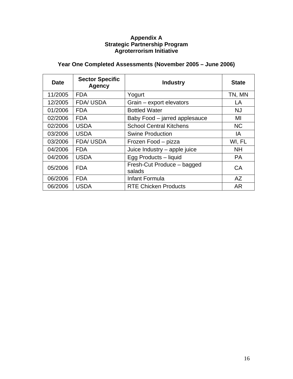#### **Appendix A Strategic Partnership Program Agroterrorism Initiative**

## **Year One Completed Assessments (November 2005 – June 2006)**

| <b>Date</b> | <b>Sector Specific</b><br><b>Agency</b> | <b>Industry</b>                      | <b>State</b> |
|-------------|-----------------------------------------|--------------------------------------|--------------|
| 11/2005     | <b>FDA</b>                              | Yogurt                               | TN, MN       |
| 12/2005     | <b>FDA/USDA</b>                         | Grain - export elevators             | LA           |
| 01/2006     | <b>FDA</b>                              | <b>Bottled Water</b>                 | <b>NJ</b>    |
| 02/2006     | <b>FDA</b>                              | Baby Food – jarred applesauce        | MI           |
| 02/2006     | <b>USDA</b>                             | <b>School Central Kitchens</b>       | <b>NC</b>    |
| 03/2006     | <b>USDA</b>                             | <b>Swine Production</b>              | IA           |
| 03/2006     | <b>FDA/USDA</b>                         | Frozen Food - pizza                  | WI, FL       |
| 04/2006     | <b>FDA</b>                              | Juice Industry - apple juice         | <b>NH</b>    |
| 04/2006     | <b>USDA</b>                             | Egg Products - liquid                | <b>PA</b>    |
| 05/2006     | <b>FDA</b>                              | Fresh-Cut Produce - bagged<br>salads | <b>CA</b>    |
| 06/2006     | <b>FDA</b>                              | Infant Formula                       | AZ           |
| 06/2006     | <b>USDA</b>                             | <b>RTE Chicken Products</b>          | AR           |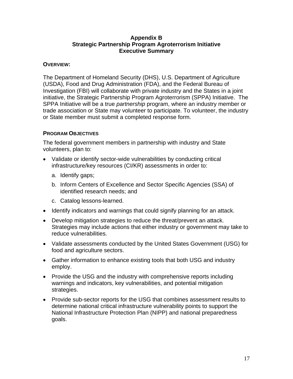#### **Appendix B Strategic Partnership Program Agroterrorism Initiative Executive Summary**

#### **OVERVIEW:**

The Department of Homeland Security (DHS), U.S. Department of Agriculture (USDA), Food and Drug Administration (FDA), and the Federal Bureau of Investigation (FBI) will collaborate with private industry and the States in a joint initiative, the Strategic Partnership Program Agroterrorism (SPPA) Initiative. The SPPA Initiative will be a true *partnership* program, where an industry member or trade association or State may volunteer to participate. To volunteer, the industry or State member must submit a completed response form.

#### **PROGRAM OBJECTIVES**

The federal government members in partnership with industry and State volunteers, plan to:

- Validate or identify sector-wide vulnerabilities by conducting critical infrastructure/key resources (CI/KR) assessments in order to:
	- a. Identify gaps;
	- b. Inform Centers of Excellence and Sector Specific Agencies (SSA) of identified research needs; and
	- c. Catalog lessons-learned.
- Identify indicators and warnings that could signify planning for an attack.
- Develop mitigation strategies to reduce the threat/prevent an attack. Strategies may include actions that either industry or government may take to reduce vulnerabilities.
- Validate assessments conducted by the United States Government (USG) for food and agriculture sectors.
- Gather information to enhance existing tools that both USG and industry employ.
- Provide the USG and the industry with comprehensive reports including warnings and indicators, key vulnerabilities, and potential mitigation strategies.
- Provide sub-sector reports for the USG that combines assessment results to determine national critical infrastructure vulnerability points to support the National Infrastructure Protection Plan (NIPP) and national preparedness goals.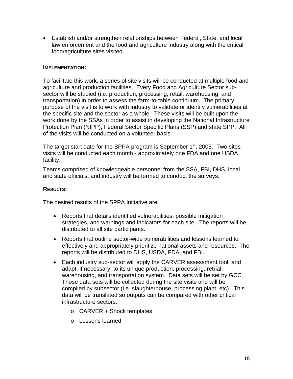• Establish and/or strengthen relationships between Federal, State, and local law enforcement and the food and agriculture industry along with the critical food/agriculture sites visited.

#### **IMPLEMENTATION:**

To facilitate this work, a series of site visits will be conducted at multiple food and agriculture and production facilities. Every Food and Agriculture Sector subsector will be studied (i.e. production, processing, retail, warehousing, and transportation) in order to assess the farm-to-table continuum. The primary purpose of the visit is to work with industry to validate or identify vulnerabilities at the specific site and the sector as a whole. These visits will be built upon the work done by the SSAs in order to assist in developing the National Infrastructure Protection Plan (NIPP), Federal Sector Specific Plans (SSP) and state SPP. All of the visits will be conducted on a volunteer basis.

The target start date for the SPPA program is September  $1<sup>st</sup>$ , 2005. Two sites visits will be conducted each month - approximately one FDA and one USDA facility.

Teams comprised of knowledgeable personnel from the SSA, FBI, DHS, local and state officials, and industry will be formed to conduct the surveys.

#### **RESULTS:**

The desired results of the SPPA Initiative are:

- Reports that details identified vulnerabilities, possible mitigation strategies, and warnings and indicators for each site. The reports will be distributed to all site participants.
- Reports that outline sector-wide vulnerabilities and lessons learned to effectively and appropriately prioritize national assets and resources. The reports will be distributed to DHS, USDA, FDA, and FBI.
- Each industry sub-sector will apply the CARVER assessment tool, and adapt, if necessary, to its unique production, processing, retrial, warehousing, and transportation system. Data sets will be set by GCC. Those data sets will be collected during the site visits and will be compiled by subsector (i.e. slaughterhouse, processing plant, etc). This data will be translated so outputs can be compared with other critical infrastructure sectors.
	- o CARVER + Shock templates
	- o Lessons learned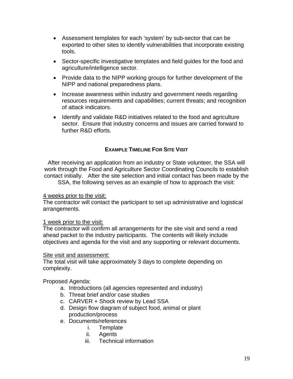- Assessment templates for each 'system' by sub-sector that can be exported to other sites to identify vulnerabilities that incorporate existing tools.
- Sector-specific investigative templates and field guides for the food and agriculture/intelligence sector.
- Provide data to the NIPP working groups for further development of the NIPP and national preparedness plans.
- Increase awareness within industry and government needs regarding resources requirements and capabilities; current threats; and recognition of attack indicators.
- Identify and validate R&D initiatives related to the food and agriculture sector. Ensure that industry concerns and issues are carried forward to further R&D efforts.

#### **EXAMPLE TIMELINE FOR SITE VISIT**

After receiving an application from an industry or State volunteer, the SSA will work through the Food and Agriculture Sector Coordinating Councils to establish contact initially. After the site selection and initial contact has been made by the SSA, the following serves as an example of how to approach the visit:

#### 4 weeks prior to the visit:

The contractor will contact the participant to set up administrative and logistical arrangements.

#### 1 week prior to the visit:

The contractor will confirm all arrangements for the site visit and send a read ahead packet to the industry participants. The contents will likely include objectives and agenda for the visit and any supporting or relevant documents.

#### Site visit and assessment:

The total visit will take approximately 3 days to complete depending on complexity.

Proposed Agenda:

- a. Introductions (all agencies represented and industry)
- b. Threat brief and/or case studies
- c. CARVER + Shock review by Lead SSA
- d. Design flow diagram of subject food, animal or plant production/process
- e. Documents/references
	- i. Template
	- ii. Agents
	- iii. Technical information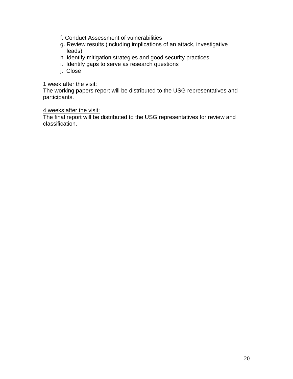- f. Conduct Assessment of vulnerabilities
- g. Review results (including implications of an attack, investigative leads)
- h. Identify mitigation strategies and good security practices
- i. Identify gaps to serve as research questions
- j. Close

#### 1 week after the visit:

The working papers report will be distributed to the USG representatives and participants.

#### 4 weeks after the visit:

The final report will be distributed to the USG representatives for review and classification.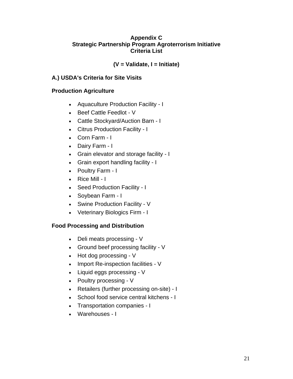#### **Appendix C Strategic Partnership Program Agroterrorism Initiative Criteria List**

#### **(V = Validate, I = Initiate)**

#### **A.) USDA's Criteria for Site Visits**

#### **Production Agriculture**

- Aquaculture Production Facility I
- Beef Cattle Feedlot V
- Cattle Stockyard/Auction Barn I
- Citrus Production Facility I
- Corn Farm I
- Dairy Farm I
- Grain elevator and storage facility I
- Grain export handling facility I
- Poultry Farm I
- Rice Mill I
- Seed Production Facility I
- Soybean Farm I
- Swine Production Facility V
- Veterinary Biologics Firm I

#### **Food Processing and Distribution**

- Deli meats processing V
- Ground beef processing facility V
- Hot dog processing V
- Import Re-inspection facilities V
- Liquid eggs processing V
- Poultry processing V
- Retailers (further processing on-site) I
- School food service central kitchens I
- Transportation companies I
- Warehouses I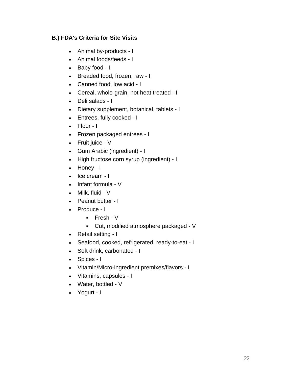#### **B.) FDA's Criteria for Site Visits**

- Animal by-products I
- Animal foods/feeds I
- Baby food I
- Breaded food, frozen, raw I
- Canned food, low acid I
- Cereal, whole-grain, not heat treated I
- Deli salads I
- Dietary supplement, botanical, tablets I
- Entrees, fully cooked I
- Flour I
- Frozen packaged entrees I
- Fruit juice V
- Gum Arabic (ingredient) I
- High fructose corn syrup (ingredient) I
- Honey I
- Ice cream I
- Infant formula V
- Milk, fluid V
- Peanut butter I
- Produce I
	- Fresh V
	- Cut, modified atmosphere packaged V
- Retail setting I
- Seafood, cooked, refrigerated, ready-to-eat I
- Soft drink, carbonated I
- Spices I
- Vitamin/Micro-ingredient premixes/flavors I
- Vitamins, capsules I
- Water, bottled V
- Yogurt I